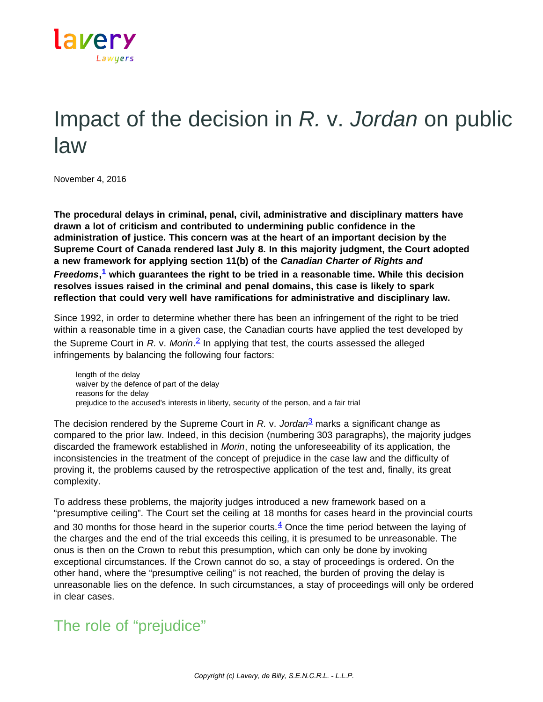

## Impact of the decision in *R.* v. *Jordan* on public law

November 4, 2016

**The procedural delays in criminal, penal, civil, administrative and disciplinary matters have drawn a lot of criticism and contributed to undermining public confidence in the administration of justice. This concern was at the heart of an important decision by the Supreme Court of Canada rendered last July 8. In this majority judgment, the Court adopted a new framework for applying section 11(b) of the** *Canadian Charter of Rights and Freedoms***, [1](https://www.lavery.ca/en/publications/our-publications/2975-impact-of-the-decision-in-r-v-jordan-on-public-law.html#01) which guarantees the right to be tried in a reasonable time. While this decision resolves issues raised in the criminal and penal domains, this case is likely to spark reflection that could very well have ramifications for administrative and disciplinary law.**

Since 1992, in order to determine whether there has been an infringement of the right to be tried within a reasonable time in a given case, the Canadian courts have applied the test developed by the Supreme Court in *R.* v. *Morin*. [2](https://www.lavery.ca/en/publications/our-publications/2975-impact-of-the-decision-in-r-v-jordan-on-public-law.html#02) In applying that test, the courts assessed the alleged infringements by balancing the following four factors:

length of the delay waiver by the defence of part of the delay reasons for the delay prejudice to the accused's interests in liberty, security of the person, and a fair trial

The decision rendered by the Supreme Court in *R.* v. *Jordan*[3](https://www.lavery.ca/en/publications/our-publications/2975-impact-of-the-decision-in-r-v-jordan-on-public-law.html#03) marks a significant change as compared to the prior law. Indeed, in this decision (numbering 303 paragraphs), the majority judges discarded the framework established in *Morin*, noting the unforeseeability of its application, the inconsistencies in the treatment of the concept of prejudice in the case law and the difficulty of proving it, the problems caused by the retrospective application of the test and, finally, its great complexity.

To address these problems, the majority judges introduced a new framework based on a "presumptive ceiling". The Court set the ceiling at 18 months for cases heard in the provincial courts and 30 months for those heard in the superior courts. $4$  Once the time period between the laying of the charges and the end of the trial exceeds this ceiling, it is presumed to be unreasonable. The onus is then on the Crown to rebut this presumption, which can only be done by invoking exceptional circumstances. If the Crown cannot do so, a stay of proceedings is ordered. On the other hand, where the "presumptive ceiling" is not reached, the burden of proving the delay is unreasonable lies on the defence. In such circumstances, a stay of proceedings will only be ordered in clear cases.

## The role of "prejudice"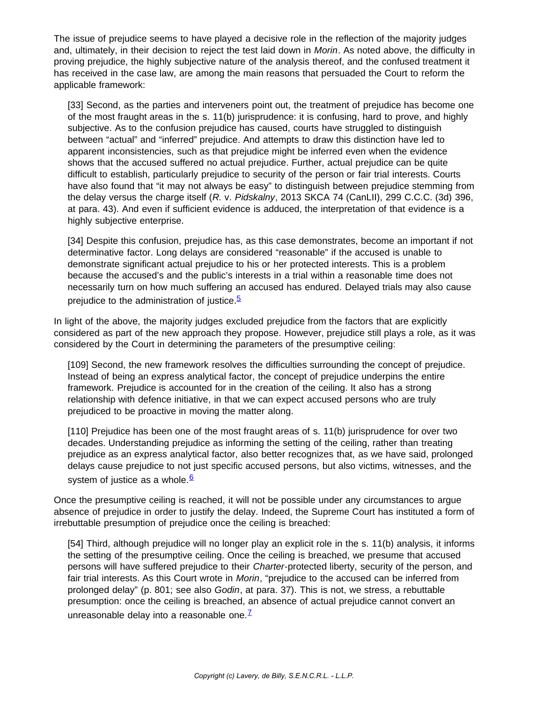The issue of prejudice seems to have played a decisive role in the reflection of the majority judges and, ultimately, in their decision to reject the test laid down in *Morin*. As noted above, the difficulty in proving prejudice, the highly subjective nature of the analysis thereof, and the confused treatment it has received in the case law, are among the main reasons that persuaded the Court to reform the applicable framework:

[33] Second, as the parties and interveners point out, the treatment of prejudice has become one of the most fraught areas in the s. 11(b) jurisprudence: it is confusing, hard to prove, and highly subjective. As to the confusion prejudice has caused, courts have struggled to distinguish between "actual" and "inferred" prejudice. And attempts to draw this distinction have led to apparent inconsistencies, such as that prejudice might be inferred even when the evidence shows that the accused suffered no actual prejudice. Further, actual prejudice can be quite difficult to establish, particularly prejudice to security of the person or fair trial interests. Courts have also found that "it may not always be easy" to distinguish between prejudice stemming from the delay versus the charge itself (*R.* v. *Pidskalny*, 2013 SKCA 74 (CanLII), 299 C.C.C. (3d) 396, at para. 43). And even if sufficient evidence is adduced, the interpretation of that evidence is a highly subjective enterprise.

[34] Despite this confusion, prejudice has, as this case demonstrates, become an important if not determinative factor. Long delays are considered "reasonable" if the accused is unable to demonstrate significant actual prejudice to his or her protected interests. This is a problem because the accused's and the public's interests in a trial within a reasonable time does not necessarily turn on how much suffering an accused has endured. Delayed trials may also cause prejudice to the administration of justice.<sup>[5](https://www.lavery.ca/en/publications/our-publications/2975-impact-of-the-decision-in-r-v-jordan-on-public-law.html#05)</sup>

In light of the above, the majority judges excluded prejudice from the factors that are explicitly considered as part of the new approach they propose. However, prejudice still plays a role, as it was considered by the Court in determining the parameters of the presumptive ceiling:

[109] Second, the new framework resolves the difficulties surrounding the concept of prejudice. Instead of being an express analytical factor, the concept of prejudice underpins the entire framework. Prejudice is accounted for in the creation of the ceiling. It also has a strong relationship with defence initiative, in that we can expect accused persons who are truly prejudiced to be proactive in moving the matter along.

[110] Prejudice has been one of the most fraught areas of s. 11(b) jurisprudence for over two decades. Understanding prejudice as informing the setting of the ceiling, rather than treating prejudice as an express analytical factor, also better recognizes that, as we have said, prolonged delays cause prejudice to not just specific accused persons, but also victims, witnesses, and the system of justice as a whole. $6$ 

Once the presumptive ceiling is reached, it will not be possible under any circumstances to argue absence of prejudice in order to justify the delay. Indeed, the Supreme Court has instituted a form of irrebuttable presumption of prejudice once the ceiling is breached:

[54] Third, although prejudice will no longer play an explicit role in the s. 11(b) analysis, it informs the setting of the presumptive ceiling. Once the ceiling is breached, we presume that accused persons will have suffered prejudice to their *Charter*-protected liberty, security of the person, and fair trial interests. As this Court wrote in *Morin*, "prejudice to the accused can be inferred from prolonged delay" (p. 801; see also *Godin*, at para. 37). This is not, we stress, a rebuttable presumption: once the ceiling is breached, an absence of actual prejudice cannot convert an unreasonable delay into a reasonable one. $<sup>Z</sup>$ </sup>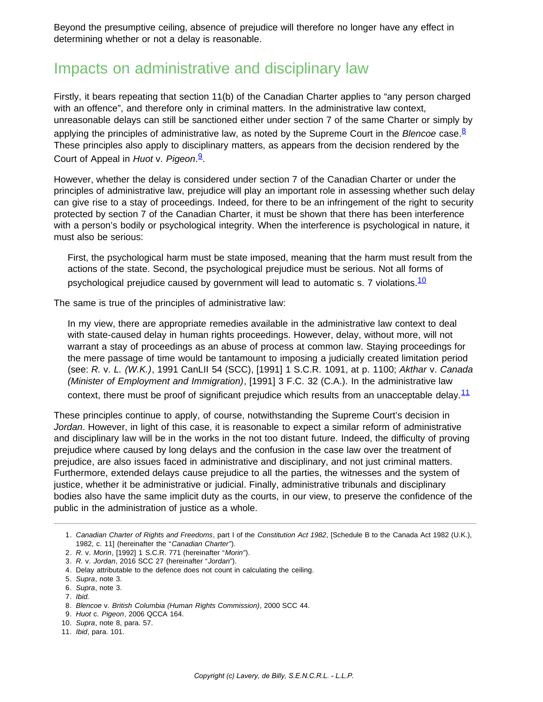Beyond the presumptive ceiling, absence of prejudice will therefore no longer have any effect in determining whether or not a delay is reasonable.

## Impacts on administrative and disciplinary law

Firstly, it bears repeating that section 11(b) of the Canadian Charter applies to "any person charged with an offence", and therefore only in criminal matters. In the administrative law context, unreasonable delays can still be sanctioned either under section 7 of the same Charter or simply by applying the principles of administrative law, as noted by the Supreme Court in the *Blencoe* case.<sup>[8](https://www.lavery.ca/en/publications/our-publications/2975-impact-of-the-decision-in-r-v-jordan-on-public-law.html#08)</sup> These principles also apply to disciplinary matters, as appears from the decision rendered by the Court of Appeal in *Huot* v. *Pigeon*. [9](https://www.lavery.ca/en/publications/our-publications/2975-impact-of-the-decision-in-r-v-jordan-on-public-law.html#09).

However, whether the delay is considered under section 7 of the Canadian Charter or under the principles of administrative law, prejudice will play an important role in assessing whether such delay can give rise to a stay of proceedings. Indeed, for there to be an infringement of the right to security protected by section 7 of the Canadian Charter, it must be shown that there has been interference with a person's bodily or psychological integrity. When the interference is psychological in nature, it must also be serious:

First, the psychological harm must be state imposed, meaning that the harm must result from the actions of the state. Second, the psychological prejudice must be serious. Not all forms of psychological prejudice caused by government will lead to automatic s. 7 violations.  $\frac{10}{10}$  $\frac{10}{10}$  $\frac{10}{10}$ 

The same is true of the principles of administrative law:

In my view, there are appropriate remedies available in the administrative law context to deal with state-caused delay in human rights proceedings. However, delay, without more, will not warrant a stay of proceedings as an abuse of process at common law. Staying proceedings for the mere passage of time would be tantamount to imposing a judicially created limitation period (see: *R.* v. *L. (W.K.)*, 1991 CanLII 54 (SCC), [1991] 1 S.C.R. 1091, at p. 1100; *Akthar* v. *Canada (Minister of Employment and Immigration)*, [1991] 3 F.C. 32 (C.A.). In the administrative law context, there must be proof of significant prejudice which results from an unacceptable delay. $11$ 

These principles continue to apply, of course, notwithstanding the Supreme Court's decision in *Jordan*. However, in light of this case, it is reasonable to expect a similar reform of administrative and disciplinary law will be in the works in the not too distant future. Indeed, the difficulty of proving prejudice where caused by long delays and the confusion in the case law over the treatment of prejudice, are also issues faced in administrative and disciplinary, and not just criminal matters. Furthermore, extended delays cause prejudice to all the parties, the witnesses and the system of justice, whether it be administrative or judicial. Finally, administrative tribunals and disciplinary bodies also have the same implicit duty as the courts, in our view, to preserve the confidence of the public in the administration of justice as a whole.

- 10. *Supra*, note 8, para. 57.
- 11. *Ibid*, para. 101.

<sup>1.</sup> *Canadian Charter of Rights and Freedoms*, part I of the *Constitution Act 1982*, [Schedule B to the Canada Act 1982 (U.K.), 1982, c. 11] (hereinafter the "*Canadian Charter*").

<sup>2.</sup> *R.* v. *Morin*, [1992] 1 S.C.R. 771 (hereinafter "*Morin*").

<sup>3.</sup> *R.* v. *Jordan*, 2016 SCC 27 (hereinafter "*Jordan*").

<sup>4.</sup> Delay attributable to the defence does not count in calculating the ceiling.

<sup>5.</sup> *Supra*, note 3.

<sup>6.</sup> *Supra*, note 3.

<sup>7.</sup> *Ibid.*

<sup>8.</sup> *Blencoe* v. *British Columbia (Human Rights Commission)*, 2000 SCC 44.

<sup>9.</sup> *Huot* c. *Pigeon*, 2006 QCCA 164.